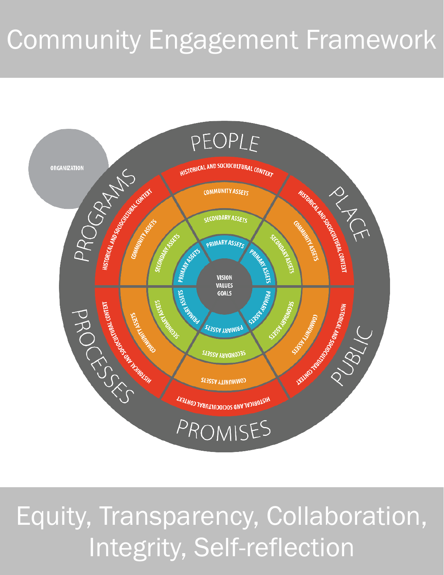## Community Engagement Framework



## Equity, Transparency, Collaboration, Integrity, Self-reflection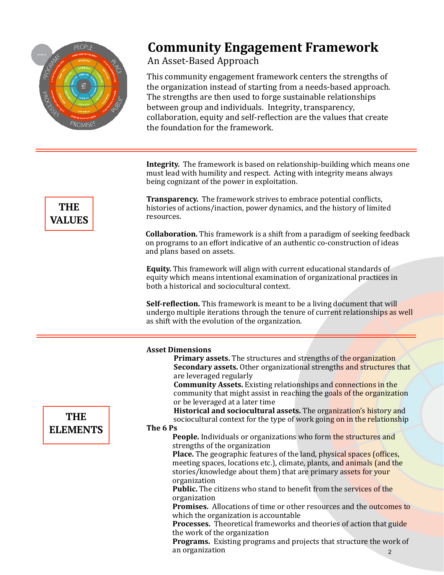

#### **Community Engagement Framework**

#### An Asset-Based Approach

This community engagement framework centers the strengths of the organization instead of starting from a needs-based approach. The strengths are then used to forge sustainable relationships between group and individuals. Integrity, transparency, collaboration, equity and self-reflection are the values that create the foundation for the framework.

**Integrity.** The framework is based on relationship-building which means one must lead with humility and respect. Acting with integrity means always being cognizant of the power in exploitation.

**Transparency.** The framework strives to embrace potential conflicts, histories of actions/inaction, power dynamics, and the history of limited resources. 

**Collaboration.** This framework is a shift from a paradigm of seeking feedback on programs to an effort indicative of an authentic co-construction of ideas and plans based on assets.

**Equity.** This framework will align with current educational standards of equity which means intentional examination of organizational practices in both a historical and sociocultural context.

**Self-reflection.** This framework is meant to be a living document that will undergo multiple iterations through the tenure of current relationships as well as shift with the evolution of the organization.

|                 | <b>Asset Dimensions</b>                                                     |
|-----------------|-----------------------------------------------------------------------------|
|                 | <b>Primary assets.</b> The structures and strengths of the organization     |
|                 | <b>Secondary assets.</b> Other organizational strengths and structures that |
|                 | are leveraged regularly                                                     |
|                 | <b>Community Assets.</b> Existing relationships and connections in the      |
|                 | community that might assist in reaching the goals of the organization       |
|                 | or be leveraged at a later time                                             |
|                 | Historical and sociocultural assets. The organization's history and         |
| <b>THE</b>      | sociocultural context for the type of work going on in the relationship     |
| <b>ELEMENTS</b> | The 6 Ps                                                                    |
|                 | People. Individuals or organizations who form the structures and            |
|                 | strengths of the organization                                               |
|                 | Place. The geographic features of the land, physical spaces (offices,       |
|                 | meeting spaces, locations etc.), climate, plants, and animals (and the      |
|                 | stories/knowledge about them) that are primary assets for your              |
|                 | organization                                                                |
|                 | <b>Public.</b> The citizens who stand to benefit from the services of the   |
|                 | organization                                                                |
|                 | <b>Promises.</b> Allocations of time or other resources and the outcomes to |
|                 | which the organization is accountable                                       |
|                 | <b>Processes.</b> Theoretical frameworks and theories of action that guide  |
|                 | the work of the organization                                                |
|                 | <b>Programs.</b> Existing programs and projects that structure the work of  |
|                 | an organization<br>2                                                        |
|                 |                                                                             |

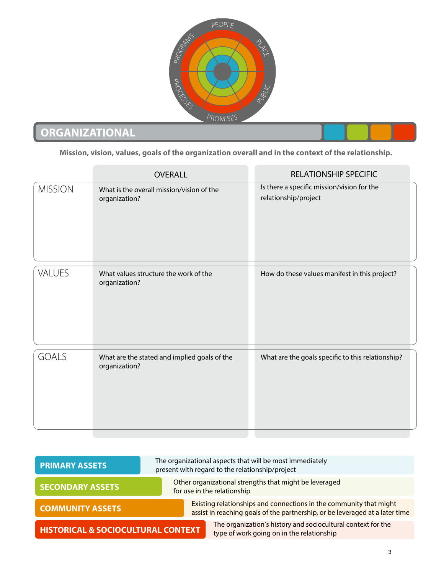

#### **ORGANIZATIONAL**

**Mission, vision, values, goals of the organization overall and in the context of the relationship.**

|                | <b>OVERALL</b>                                                | <b>RELATIONSHIP SPECIFIC</b>                                       |
|----------------|---------------------------------------------------------------|--------------------------------------------------------------------|
| <b>MISSION</b> | What is the overall mission/vision of the<br>organization?    | Is there a specific mission/vision for the<br>relationship/project |
| VALUES         | What values structure the work of the<br>organization?        | How do these values manifest in this project?                      |
| <b>GOALS</b>   | What are the stated and implied goals of the<br>organization? | What are the goals specific to this relationship?                  |

| <b>PRIMARY ASSETS</b>                         | The organizational aspects that will be most immediately<br>present with regard to the relationship/project                                        |  |
|-----------------------------------------------|----------------------------------------------------------------------------------------------------------------------------------------------------|--|
| <b>SECONDARY ASSETS</b>                       | Other organizational strengths that might be leveraged<br>for use in the relationship                                                              |  |
| <b>COMMUNITY ASSETS</b>                       | Existing relationships and connections in the community that might<br>assist in reaching goals of the partnership, or be leveraged at a later time |  |
| <b>HISTORICAL &amp; SOCIOCULTURAL CONTEXT</b> | The organization's history and sociocultural context for the<br>type of work going on in the relationship                                          |  |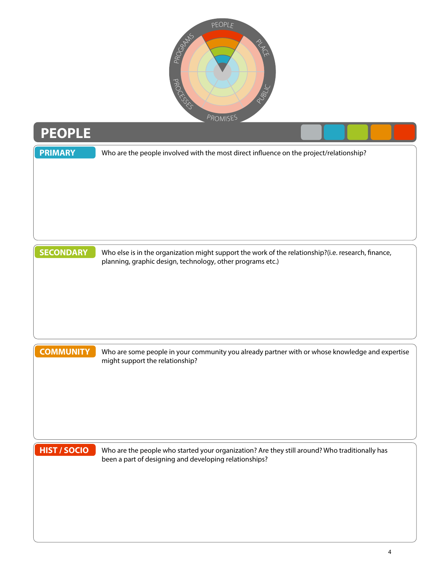

# **PEOPLE** Who are the people involved with the most direct influence on the project/relationship? Who else is in the organization might support the work of the relationship?(i.e. research, finance, planning, graphic design, technology, other programs etc.) **SECONDARY** Who are some people in your community you already partner with or whose knowledge and expertise might support the relationship? **COMMUNITY** Who are the people who started your organization? Are they still around? Who traditionally has been a part of designing and developing relationships? **HIST / SOCIO PRIMARY**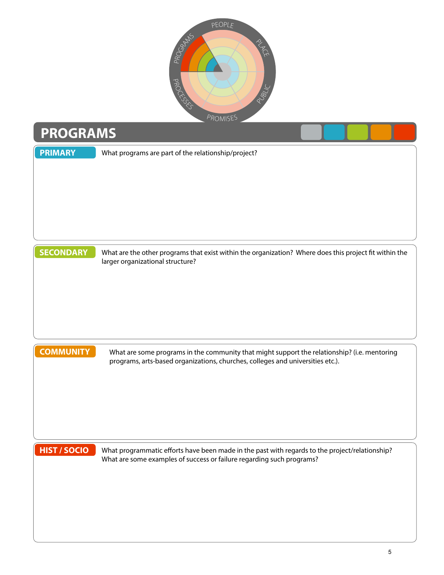

### **PROGRAMS**

| <b>PRIMARY</b>      | What programs are part of the relationship/project?                                                                                                                     |
|---------------------|-------------------------------------------------------------------------------------------------------------------------------------------------------------------------|
|                     |                                                                                                                                                                         |
|                     |                                                                                                                                                                         |
|                     |                                                                                                                                                                         |
|                     |                                                                                                                                                                         |
| <b>SECONDARY</b>    | What are the other programs that exist within the organization? Where does this project fit within the<br>larger organizational structure?                              |
|                     |                                                                                                                                                                         |
|                     |                                                                                                                                                                         |
|                     |                                                                                                                                                                         |
| <b>COMMUNITY</b>    | What are some programs in the community that might support the relationship? (i.e. mentoring                                                                            |
|                     | programs, arts-based organizations, churches, colleges and universities etc.).                                                                                          |
|                     |                                                                                                                                                                         |
|                     |                                                                                                                                                                         |
|                     |                                                                                                                                                                         |
| <b>HIST / SOCIO</b> | What programmatic efforts have been made in the past with regards to the project/relationship?<br>What are some examples of success or failure regarding such programs? |
|                     |                                                                                                                                                                         |
|                     |                                                                                                                                                                         |
|                     |                                                                                                                                                                         |
|                     |                                                                                                                                                                         |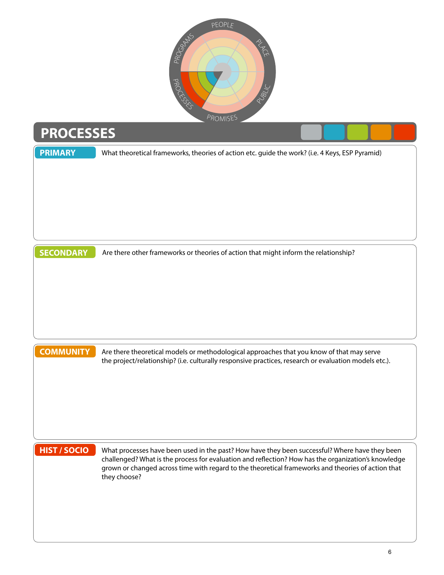

#### **PROCESSES**

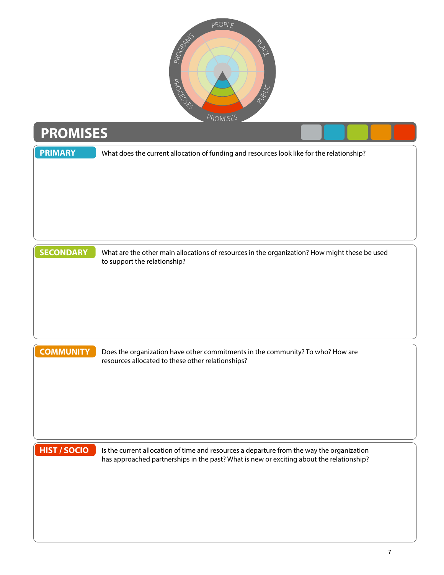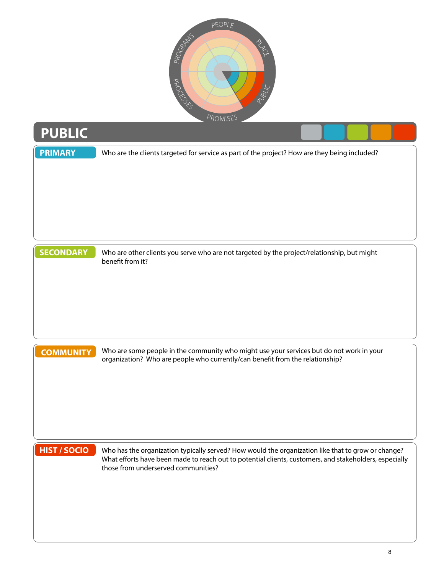